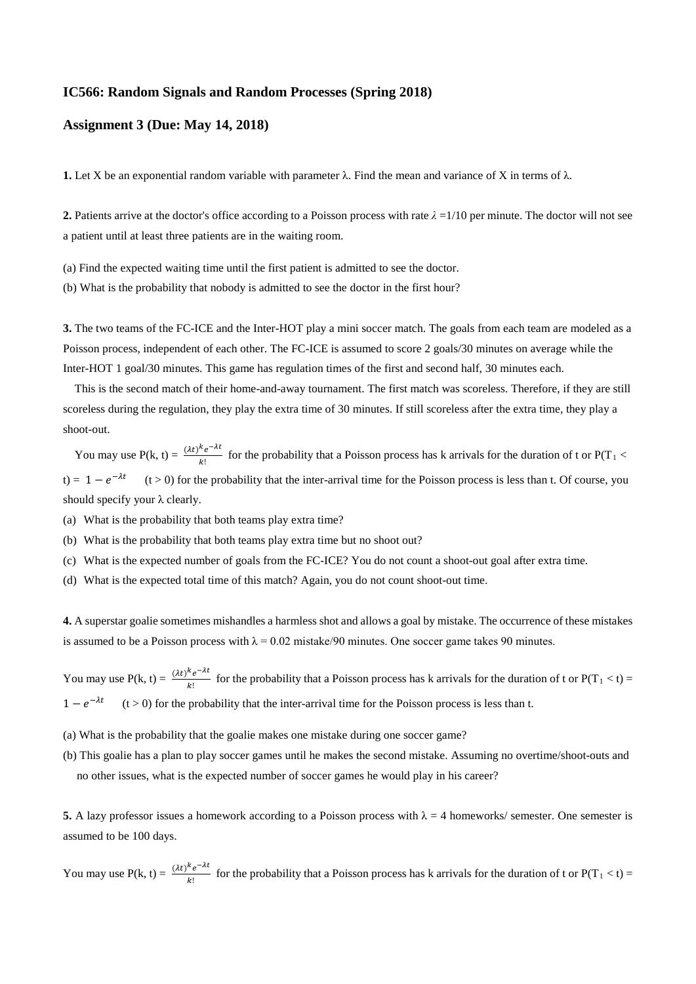## **IC566: Random Signals and Random Processes (Spring 2018)**

## **Assignment 3 (Due: May 14, 2018)**

**1.** Let X be an exponential random variable with parameter  $\lambda$ . Find the mean and variance of X in terms of  $\lambda$ .

**2.** Patients arrive at the doctor's office according to a Poisson process with rate  $\lambda = 1/10$  per minute. The doctor will not see a patient until at least three patients are in the waiting room.

(a) Find the expected waiting time until the first patient is admitted to see the doctor.

(b) What is the probability that nobody is admitted to see the doctor in the first hour?

**3.** The two teams of the FC-ICE and the Inter-HOT play a mini soccer match. The goals from each team are modeled as a Poisson process, independent of each other. The FC-ICE is assumed to score 2 goals/30 minutes on average while the Inter-HOT 1 goal/30 minutes. This game has regulation times of the first and second half, 30 minutes each.

This is the second match of their home-and-away tournament. The first match was scoreless. Therefore, if they are still scoreless during the regulation, they play the extra time of 30 minutes. If still scoreless after the extra time, they play a shoot-out.

You may use  $P(k, t) = \frac{(\lambda t)^k e^{-\lambda t}}{k!}$  for the probability that a Poisson process has k arrivals for the duration of t or  $P(T_1 <$ t) =  $1 - e^{-\lambda t}$  (t > 0) for the probability that the inter-arrival time for the Poisson process is less than t. Of course, you should specify your  $\lambda$  clearly.

- (a) What is the probability that both teams play extra time?
- (b) What is the probability that both teams play extra time but no shoot out?
- (c) What is the expected number of goals from the FC-ICE? You do not count a shoot-out goal after extra time.
- (d) What is the expected total time of this match? Again, you do not count shoot-out time.

**4.** A superstar goalie sometimes mishandles a harmless shot and allows a goal by mistake. The occurrence of these mistakes is assumed to be a Poisson process with  $\lambda = 0.02$  mistake/90 minutes. One soccer game takes 90 minutes.

You may use  $P(k, t) = \frac{(\lambda t)^k e^{-\lambda t}}{k!}$  for the probability that a Poisson process has k arrivals for the duration of t or  $P(T_1 < t)$  =  $1 - e^{-\lambda t}$  (t > 0) for the probability that the inter-arrival time for the Poisson process is less than t.

- (a) What is the probability that the goalie makes one mistake during one soccer game?
- (b) This goalie has a plan to play soccer games until he makes the second mistake. Assuming no overtime/shoot-outs and no other issues, what is the expected number of soccer games he would play in his career?

**5.** A lazy professor issues a homework according to a Poisson process with  $\lambda = 4$  homeworks/ semester. One semester is assumed to be 100 days.

You may use  $P(k, t) = \frac{(\lambda t)^k e^{-\lambda t}}{k!}$  for the probability that a Poisson process has k arrivals for the duration of t or  $P(T_1 < t)$  =